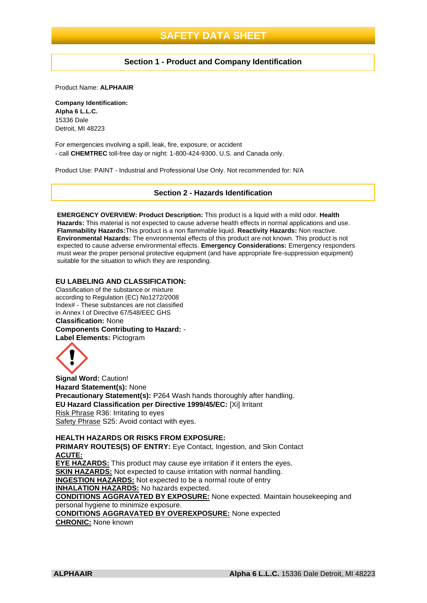## **Section 1 - Product and Company Identification**

Product Name: **ALPHAAIR**

**Company Identification: Alpha 6 L.L.C.** 15336 Dale Detroit, MI 48223

For emergencies involving a spill, leak, fire, exposure, or accident - call **CHEMTREC** toll-free day or night: 1-800-424-9300. U.S. and Canada only.

Product Use: PAINT - Industrial and Professional Use Only. Not recommended for: N/A

#### **Section 2 - Hazards Identification**

**EMERGENCY OVERVIEW: Product Description:** This product is a liquid with a mild odor. **Health Hazards:** This material is not expected to cause adverse health effects in normal applications and use. **Flammability Hazards:**This product is a non flammable liquid. **Reactivity Hazards:** Non reactive. **Environmental Hazards:** The environmental effects of this product are not known. This product is not expected to cause adverse environmental effects. **Emergency Considerations:** Emergency responders must wear the proper personal protective equipment (and have appropriate fire-suppression equipment) suitable for the situation to which they are responding.

#### **EU LABELING AND CLASSIFICATION:**

Classification of the substance or mixture according to Regulation (EC) No1272/2008 Index# - These substances are not classified in Annex I of Directive 67/548/EEC GHS **Classification:** None **Components Contributing to Hazard:** - **Label Elements:** Pictogram



**Signal Word:** Caution! **Hazard Statement(s):** None **Precautionary Statement(s):** P264 Wash hands thoroughly after handling. **EU Hazard Classification per Directive 1999/45/EC:** [Xi] Irritant Risk Phrase R36: Irritating to eyes Safety Phrase S25: Avoid contact with eyes.

**HEALTH HAZARDS OR RISKS FROM EXPOSURE: PRIMARY ROUTES(S) OF ENTRY:** Eve Contact, Ingestion, and Skin Contact **ACUTE: EYE HAZARDS:** This product may cause eye irritation if it enters the eyes. **SKIN HAZARDS:** Not expected to cause irritation with normal handling. **INGESTION HAZARDS:** Not expected to be a normal route of entry **INHALATION HAZARDS:** No hazards expected. **CONDITIONS AGGRAVATED BY EXPOSURE:** None expected. Maintain housekeeping and personal hygiene to minimize exposure. **CONDITIONS AGGRAVATED BY OVEREXPOSURE:** None expected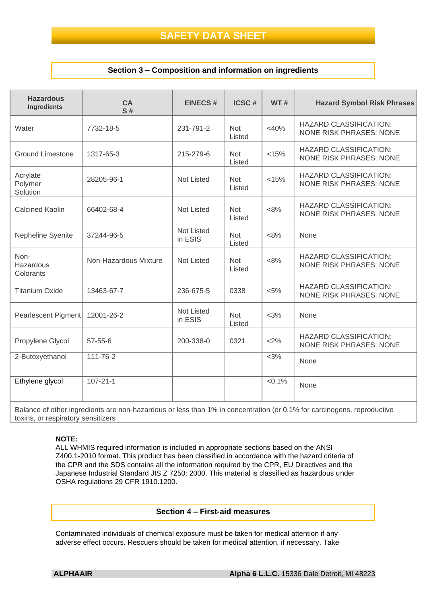## **Section 3 – Composition and information on ingredients**

| <b>Hazardous</b><br><b>Ingredients</b> | <b>CA</b><br>S#       | <b>EINECS#</b>               | <b>ICSC#</b>         | <b>WT#</b> | <b>Hazard Symbol Risk Phrases</b>                               |
|----------------------------------------|-----------------------|------------------------------|----------------------|------------|-----------------------------------------------------------------|
| Water                                  | 7732-18-5             | 231-791-2                    | <b>Not</b><br>Listed | $<$ 40%    | <b>HAZARD CLASSIFICATION:</b><br><b>NONE RISK PHRASES: NONE</b> |
| <b>Ground Limestone</b>                | 1317-65-3             | 215-279-6                    | <b>Not</b><br>Listed | < 15%      | <b>HAZARD CLASSIFICATION:</b><br><b>NONE RISK PHRASES: NONE</b> |
| Acrylate<br>Polymer<br>Solution        | 28205-96-1            | <b>Not Listed</b>            | <b>Not</b><br>Listed | < 15%      | <b>HAZARD CLASSIFICATION:</b><br><b>NONE RISK PHRASES: NONE</b> |
| <b>Calcined Kaolin</b>                 | 66402-68-4            | <b>Not Listed</b>            | <b>Not</b><br>Listed | < 8%       | <b>HAZARD CLASSIFICATION:</b><br><b>NONE RISK PHRASES: NONE</b> |
| Nepheline Syenite                      | 37244-96-5            | Not Listed<br>in ESIS        | <b>Not</b><br>Listed | <8%        | None                                                            |
| Non-<br>Hazardous<br>Colorants         | Non-Hazardous Mixture | <b>Not Listed</b>            | <b>Not</b><br>Listed | $<8\%$     | <b>HAZARD CLASSIFICATION:</b><br><b>NONE RISK PHRASES: NONE</b> |
| <b>Titanium Oxide</b>                  | 13463-67-7            | 236-675-5                    | 0338                 | $< 5\%$    | <b>HAZARD CLASSIFICATION:</b><br><b>NONE RISK PHRASES: NONE</b> |
| <b>Pearlescent Pigment</b>             | 12001-26-2            | <b>Not Listed</b><br>in ESIS | <b>Not</b><br>Listed | $<$ 3%     | None                                                            |
| Propylene Glycol                       | $57 - 55 - 6$         | 200-338-0                    | 0321                 | <2%        | <b>HAZARD CLASSIFICATION:</b><br><b>NONE RISK PHRASES: NONE</b> |
| 2-Butoxyethanol                        | 111-76-2              |                              |                      | $<$ 3%     | None                                                            |
| Ethylene glycol                        | $107 - 21 - 1$        |                              |                      | $< 0.1\%$  | None                                                            |

Balance of other ingredients are non-hazardous or less than 1% in concentration (or 0.1% for carcinogens, reproductive toxins, or respiratory sensitizers

#### **NOTE:**

ALL WHMIS required information is included in appropriate sections based on the ANSI Z400.1-2010 format. This product has been classified in accordance with the hazard criteria of the CPR and the SDS contains all the information required by the CPR, EU Directives and the Japanese Industrial Standard JIS Z 7250: 2000. This material is classified as hazardous under OSHA regulations 29 CFR 1910.1200.

#### **Section 4 – First-aid measures**

Contaminated individuals of chemical exposure must be taken for medical attention if any adverse effect occurs. Rescuers should be taken for medical attention, if necessary. Take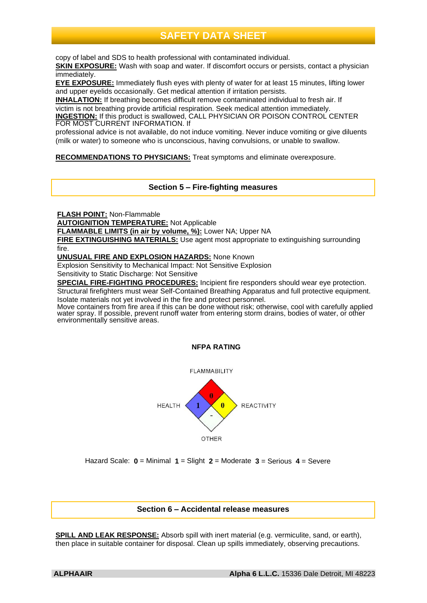copy of label and SDS to health professional with contaminated individual.

**SKIN EXPOSURE:** Wash with soap and water. If discomfort occurs or persists, contact a physician immediately.

**EYE EXPOSURE:** Immediately flush eyes with plenty of water for at least 15 minutes, lifting lower and upper eyelids occasionally. Get medical attention if irritation persists.

**INHALATION:** If breathing becomes difficult remove contaminated individual to fresh air. If victim is not breathing provide artificial respiration. Seek medical attention immediately.

**INGESTION:** If this product is swallowed, CALL PHYSICIAN OR POISON CONTROL CENTER FOR MOST CURRENT INFORMATION. If

professional advice is not available, do not induce vomiting. Never induce vomiting or give diluents (milk or water) to someone who is unconscious, having convulsions, or unable to swallow.

**RECOMMENDATIONS TO PHYSICIANS:** Treat symptoms and eliminate overexposure.

**Section 5 – Fire-fighting measures**

**FLASH POINT:** Non-Flammable

**AUTOIGNITION TEMPERATURE:** Not Applicable

**FLAMMABLE LIMITS (in air by volume, %):** Lower NA; Upper NA

**FIRE EXTINGUISHING MATERIALS:** Use agent most appropriate to extinguishing surrounding fire.

**UNUSUAL FIRE AND EXPLOSION HAZARDS:** None Known

Explosion Sensitivity to Mechanical Impact: Not Sensitive Explosion

Sensitivity to Static Discharge: Not Sensitive

**SPECIAL FIRE-FIGHTING PROCEDURES:** Incipient fire responders should wear eye protection. Structural firefighters must wear Self-Contained Breathing Apparatus and full protective equipment.

Isolate materials not yet involved in the fire and protect personnel.

Move containers from fire area if this can be done without risk; otherwise, cool with carefully applied water spray. If possible, prevent runoff water from entering storm drains, bodies of water, or other environmentally sensitive areas.





Hazard Scale: **0** = Minimal **1** = Slight **2** = Moderate **3** = Serious **4** = Severe

# **Section 6 – Accidental release measures**

**SPILL AND LEAK RESPONSE:** Absorb spill with inert material (e.g. vermiculite, sand, or earth), then place in suitable container for disposal. Clean up spills immediately, observing precautions.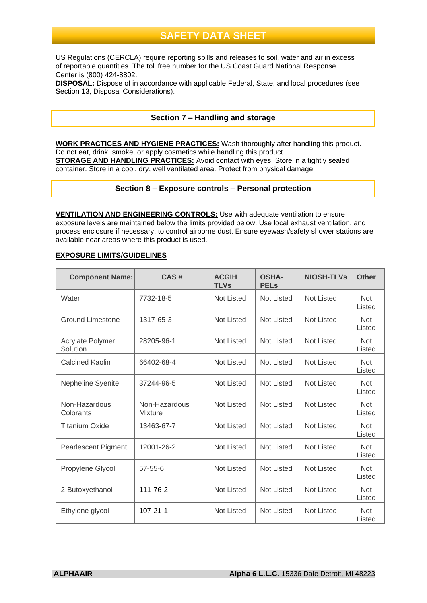US Regulations (CERCLA) require reporting spills and releases to soil, water and air in excess of reportable quantities. The toll free number for the US Coast Guard National Response Center is (800) 424-8802.

**DISPOSAL:** Dispose of in accordance with applicable Federal, State, and local procedures (see Section 13, Disposal Considerations).

## **Section 7 – Handling and storage**

**WORK PRACTICES AND HYGIENE PRACTICES:** Wash thoroughly after handling this product. Do not eat, drink, smoke, or apply cosmetics while handling this product. **STORAGE AND HANDLING PRACTICES:** Avoid contact with eyes. Store in a tightly sealed container. Store in a cool, dry, well ventilated area. Protect from physical damage.

### **Section 8 – Exposure controls – Personal protection**

**VENTILATION AND ENGINEERING CONTROLS:** Use with adequate ventilation to ensure exposure levels are maintained below the limits provided below. Use local exhaust ventilation, and process enclosure if necessary, to control airborne dust. Ensure eyewash/safety shower stations are available near areas where this product is used.

#### **EXPOSURE LIMITS/GUIDELINES**

| <b>Component Name:</b>       | CAS#                            | <b>ACGIH</b><br><b>TLVs</b> | <b>OSHA-</b><br><b>PELs</b> | <b>NIOSH-TLVs</b> | <b>Other</b>         |
|------------------------------|---------------------------------|-----------------------------|-----------------------------|-------------------|----------------------|
| Water                        | 7732-18-5                       | Not Listed                  | <b>Not Listed</b>           | <b>Not Listed</b> | <b>Not</b><br>Listed |
| <b>Ground Limestone</b>      | 1317-65-3                       | Not Listed                  | <b>Not Listed</b>           | <b>Not Listed</b> | <b>Not</b><br>Listed |
| Acrylate Polymer<br>Solution | 28205-96-1                      | <b>Not Listed</b>           | <b>Not Listed</b>           | <b>Not Listed</b> | <b>Not</b><br>Listed |
| <b>Calcined Kaolin</b>       | 66402-68-4                      | <b>Not Listed</b>           | <b>Not Listed</b>           | <b>Not Listed</b> | <b>Not</b><br>Listed |
| Nepheline Syenite            | 37244-96-5                      | Not Listed                  | <b>Not Listed</b>           | <b>Not Listed</b> | <b>Not</b><br>Listed |
| Non-Hazardous<br>Colorants   | Non-Hazardous<br><b>Mixture</b> | Not Listed                  | <b>Not Listed</b>           | <b>Not Listed</b> | <b>Not</b><br>Listed |
| <b>Titanium Oxide</b>        | 13463-67-7                      | Not Listed                  | <b>Not Listed</b>           | <b>Not Listed</b> | <b>Not</b><br>Listed |
| <b>Pearlescent Pigment</b>   | 12001-26-2                      | <b>Not Listed</b>           | <b>Not Listed</b>           | <b>Not Listed</b> | <b>Not</b><br>Listed |
| Propylene Glycol             | $57 - 55 - 6$                   | <b>Not Listed</b>           | <b>Not Listed</b>           | <b>Not Listed</b> | <b>Not</b><br>Listed |
| 2-Butoxyethanol              | 111-76-2                        | Not Listed                  | <b>Not Listed</b>           | <b>Not Listed</b> | <b>Not</b><br>Listed |
| Ethylene glycol              | $107 - 21 - 1$                  | <b>Not Listed</b>           | <b>Not Listed</b>           | <b>Not Listed</b> | <b>Not</b><br>Listed |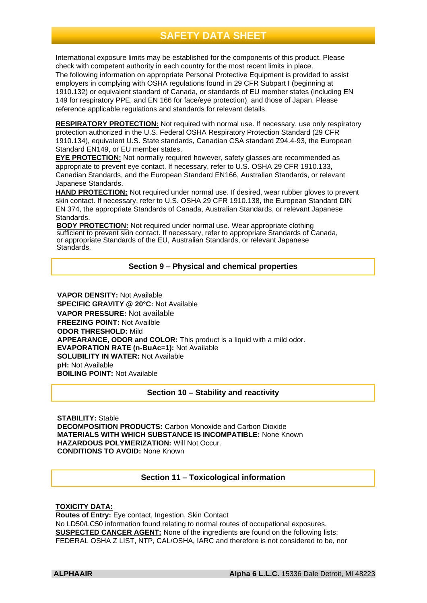International exposure limits may be established for the components of this product. Please check with competent authority in each country for the most recent limits in place. The following information on appropriate Personal Protective Equipment is provided to assist employers in complying with OSHA regulations found in 29 CFR Subpart I (beginning at 1910.132) or equivalent standard of Canada, or standards of EU member states (including EN 149 for respiratory PPE, and EN 166 for face/eye protection), and those of Japan. Please reference applicable regulations and standards for relevant details.

**RESPIRATORY PROTECTION:** Not required with normal use. If necessary, use only respiratory protection authorized in the U.S. Federal OSHA Respiratory Protection Standard (29 CFR 1910.134), equivalent U.S. State standards, Canadian CSA standard Z94.4-93, the European Standard EN149, or EU member states.

**EYE PROTECTION:** Not normally required however, safety glasses are recommended as appropriate to prevent eye contact. If necessary, refer to U.S. OSHA 29 CFR 1910.133, Canadian Standards, and the European Standard EN166, Australian Standards, or relevant Japanese Standards.

**HAND PROTECTION:** Not required under normal use. If desired, wear rubber gloves to prevent skin contact. If necessary, refer to U.S. OSHA 29 CFR 1910.138, the European Standard DIN EN 374, the appropriate Standards of Canada, Australian Standards, or relevant Japanese Standards.

**BODY PROTECTION:** Not required under normal use. Wear appropriate clothing sufficient to prevent skin contact. If necessary, refer to appropriate Standards of Canada, or appropriate Standards of the EU, Australian Standards, or relevant Japanese Standards.

# **Section 9 – Physical and chemical properties**

**VAPOR DENSITY:** Not Available **SPECIFIC GRAVITY @ 20°C:** Not Available **VAPOR PRESSURE:** Not available **FREEZING POINT:** Not Availble **ODOR THRESHOLD:** Mild **APPEARANCE, ODOR and COLOR:** This product is a liquid with a mild odor. **EVAPORATION RATE (n-BuAc=1):** Not Available **SOLUBILITY IN WATER: Not Available pH:** Not Available **BOILING POINT:** Not Available

# **Section 10 – Stability and reactivity**

**STABILITY:** Stable **DECOMPOSITION PRODUCTS:** Carbon Monoxide and Carbon Dioxide **MATERIALS WITH WHICH SUBSTANCE IS INCOMPATIBLE:** None Known **HAZARDOUS POLYMERIZATION:** Will Not Occur. **CONDITIONS TO AVOID:** None Known

# **Section 11 – Toxicological information**

### **TOXICITY DATA:**

**Routes of Entry:** Eye contact, Ingestion, Skin Contact No LD50/LC50 information found relating to normal routes of occupational exposures. **SUSPECTED CANCER AGENT:** None of the ingredients are found on the following lists: FEDERAL OSHA Z LIST, NTP, CAL/OSHA, IARC and therefore is not considered to be, nor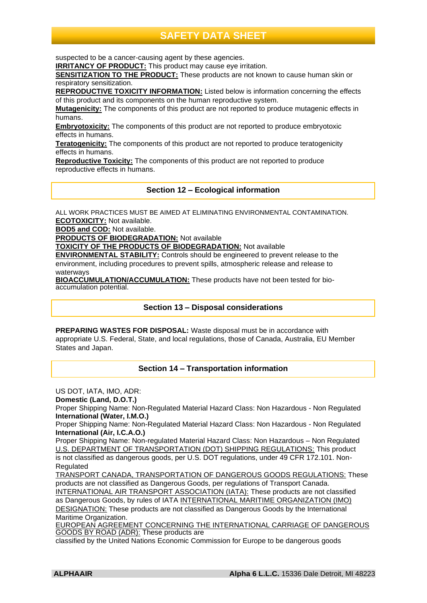suspected to be a cancer-causing agent by these agencies.

**IRRITANCY OF PRODUCT:** This product may cause eye irritation.

**SENSITIZATION TO THE PRODUCT:** These products are not known to cause human skin or respiratory sensitization.

**REPRODUCTIVE TOXICITY INFORMATION:** Listed below is information concerning the effects of this product and its components on the human reproductive system.

**Mutagenicity:** The components of this product are not reported to produce mutagenic effects in humans.

**Embryotoxicity:** The components of this product are not reported to produce embryotoxic effects in humans.

**Teratogenicity:** The components of this product are not reported to produce teratogenicity effects in humans.

**Reproductive Toxicity:** The components of this product are not reported to produce reproductive effects in humans.

**Section 12 – Ecological information**

ALL WORK PRACTICES MUST BE AIMED AT ELIMINATING ENVIRONMENTAL CONTAMINATION. **ECOTOXICITY:** Not available.

**BOD5 and COD:** Not available.

**PRODUCTS OF BIODEGRADATION:** Not available

**TOXICITY OF THE PRODUCTS OF BIODEGRADATION:** Not available

**ENVIRONMENTAL STABILITY:** Controls should be engineered to prevent release to the environment, including procedures to prevent spills, atmospheric release and release to waterways

**BIOACCUMULATION/ACCUMULATION:** These products have not been tested for bioaccumulation potential.

### **Section 13 – Disposal considerations**

**PREPARING WASTES FOR DISPOSAL:** Waste disposal must be in accordance with appropriate U.S. Federal, State, and local regulations, those of Canada, Australia, EU Member States and Japan.

# **Section 14 – Transportation information**

US DOT, IATA, IMO, ADR: **Domestic (Land, D.O.T.)** Proper Shipping Name: Non-Regulated Material Hazard Class: Non Hazardous - Non Regulated **International (Water, I.M.O.)** Proper Shipping Name: Non-Regulated Material Hazard Class: Non Hazardous - Non Regulated **International (Air, I.C.A.O.)** Proper Shipping Name: Non-regulated Material Hazard Class: Non Hazardous – Non Regulated U.S. DEPARTMENT OF TRANSPORTATION (DOT) SHIPPING REGULATIONS: This product is not classified as dangerous goods, per U.S. DOT regulations, under 49 CFR 172.101. Non-Regulated TRANSPORT CANADA, TRANSPORTATION OF DANGEROUS GOODS REGULATIONS: These products are not classified as Dangerous Goods, per regulations of Transport Canada. INTERNATIONAL AIR TRANSPORT ASSOCIATION (IATA): These products are not classified as Dangerous Goods, by rules of IATA INTERNATIONAL MARITIME ORGANIZATION (IMO) DESIGNATION: These products are not classified as Dangerous Goods by the International Maritime Organization.

EUROPEAN AGREEMENT CONCERNING THE INTERNATIONAL CARRIAGE OF DANGEROUS GOODS BY ROAD (ADR): These products are

classified by the United Nations Economic Commission for Europe to be dangerous goods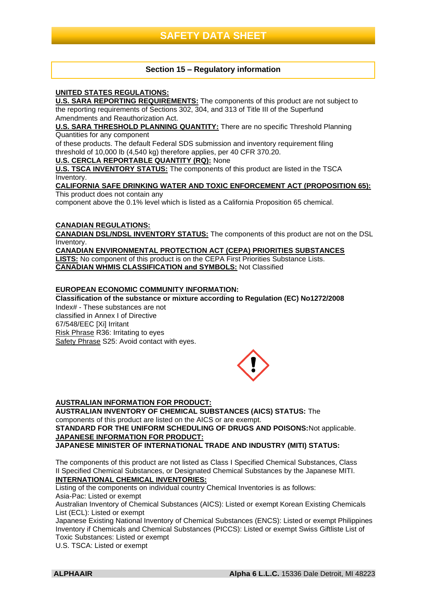# **Section 15 – Regulatory information**

### **UNITED STATES REGULATIONS:**

**U.S. SARA REPORTING REQUIREMENTS:** The components of this product are not subject to the reporting requirements of Sections 302, 304, and 313 of Title III of the Superfund Amendments and Reauthorization Act.

**U.S. SARA THRESHOLD PLANNING QUANTITY:** There are no specific Threshold Planning Quantities for any component

of these products. The default Federal SDS submission and inventory requirement filing threshold of 10,000 lb (4,540 kg) therefore applies, per 40 CFR 370.20.

## **U.S. CERCLA REPORTABLE QUANTITY (RQ):** None

**U.S. TSCA INVENTORY STATUS:** The components of this product are listed in the TSCA Inventory.

#### **CALIFORNIA SAFE DRINKING WATER AND TOXIC ENFORCEMENT ACT (PROPOSITION 65):** This product does not contain any

component above the 0.1% level which is listed as a California Proposition 65 chemical.

## **CANADIAN REGULATIONS:**

**CANADIAN DSL/NDSL INVENTORY STATUS:** The components of this product are not on the DSL Inventory.

**CANADIAN ENVIRONMENTAL PROTECTION ACT (CEPA) PRIORITIES SUBSTANCES LISTS:** No component of this product is on the CEPA First Priorities Substance Lists. **CANADIAN WHMIS CLASSIFICATION and SYMBOLS:** Not Classified

## **EUROPEAN ECONOMIC COMMUNITY INFORMATION:**

**Classification of the substance or mixture according to Regulation (EC) No1272/2008** Index# - These substances are not classified in Annex I of Directive 67/548/EEC [Xi] Irritant Risk Phrase R36: Irritating to eyes Safety Phrase S25: Avoid contact with eyes.



### **AUSTRALIAN INFORMATION FOR PRODUCT:**

**AUSTRALIAN INVENTORY OF CHEMICAL SUBSTANCES (AICS) STATUS:** The components of this product are listed on the AICS or are exempt. **STANDARD FOR THE UNIFORM SCHEDULING OF DRUGS AND POISONS:**Not applicable. **JAPANESE INFORMATION FOR PRODUCT:**

**JAPANESE MINISTER OF INTERNATIONAL TRADE AND INDUSTRY (MITI) STATUS:**

The components of this product are not listed as Class I Specified Chemical Substances, Class II Specified Chemical Substances, or Designated Chemical Substances by the Japanese MITI. **INTERNATIONAL CHEMICAL INVENTORIES:**

Listing of the components on individual country Chemical Inventories is as follows: Asia-Pac: Listed or exempt

Australian Inventory of Chemical Substances (AICS): Listed or exempt Korean Existing Chemicals List (ECL): Listed or exempt

Japanese Existing National Inventory of Chemical Substances (ENCS): Listed or exempt Philippines Inventory if Chemicals and Chemical Substances (PICCS): Listed or exempt Swiss Giftliste List of Toxic Substances: Listed or exempt

U.S. TSCA: Listed or exempt